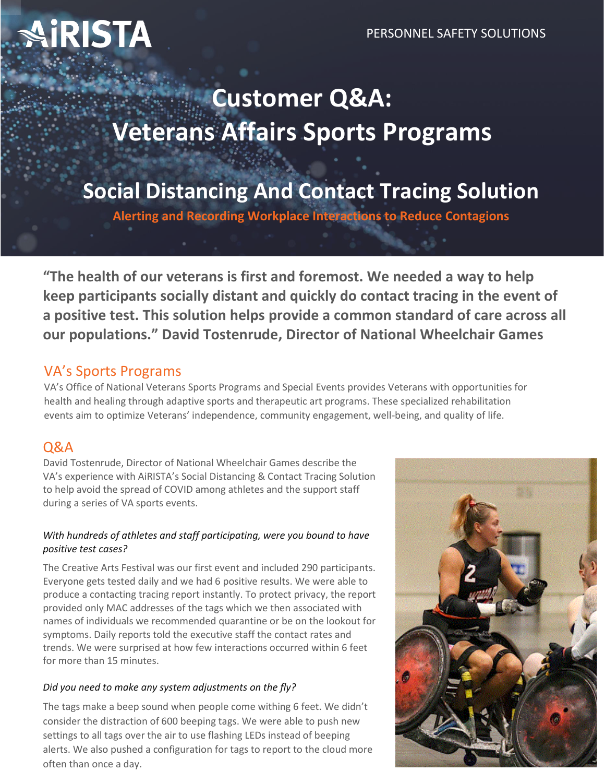# **iRISTA**

## **Customer Q&A: Veterans Affairs Sports Programs**

## **Social Distancing And Contact Tracing Solution**

**Alerting and Recording Workplace Interactions to Reduce Contagions**

**"The health of our veterans is first and foremost. We needed a way to help keep participants socially distant and quickly do contact tracing in the event of a positive test. This solution helps provide a common standard of care across all our populations." David Tostenrude, Director of National Wheelchair Games**

## VA's Sports Programs

VA's Office of National Veterans Sports Programs and Special Events provides Veterans with opportunities for health and healing through adaptive sports and therapeutic art programs. These specialized rehabilitation events aim to optimize Veterans' independence, community engagement, well-being, and quality of life.

## Q&A

David Tostenrude, Director of National Wheelchair Games describe the VA's experience with AiRISTA's Social Distancing & Contact Tracing Solution to help avoid the spread of COVID among athletes and the support staff during a series of VA sports events.

### *With hundreds of athletes and staff participating, were you bound to have positive test cases?*

The Creative Arts Festival was our first event and included 290 participants. Everyone gets tested daily and we had 6 positive results. We were able to produce a contacting tracing report instantly. To protect privacy, the report provided only MAC addresses of the tags which we then associated with names of individuals we recommended quarantine or be on the lookout for symptoms. Daily reports told the executive staff the contact rates and trends. We were surprised at how few interactions occurred within 6 feet for more than 15 minutes.

## *Did you need to make any system adjustments on the fly?*

The tags make a beep sound when people come withing 6 feet. We didn't consider the distraction of 600 beeping tags. We were able to push new settings to all tags over the air to use flashing LEDs instead of beeping alerts. We also pushed a configuration for tags to report to the cloud more often than once a day.